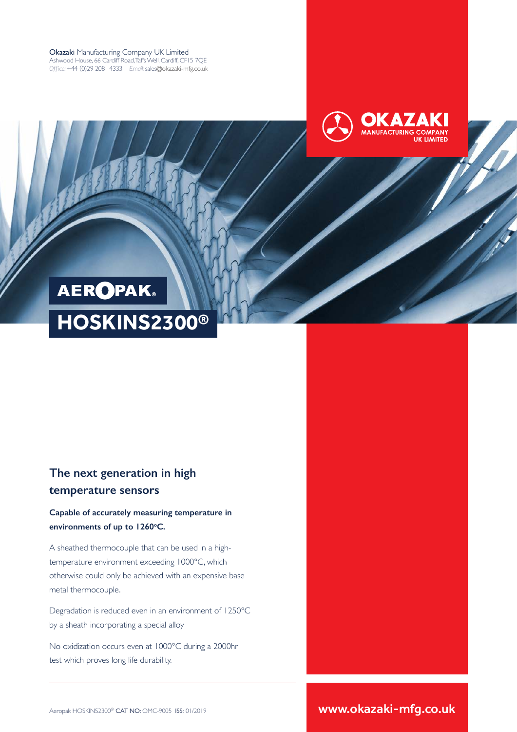Okazaki Manufacturing Company UK Limited Ashwood House, 66 Cardiff Road, Taffs Well, Cardiff, CF15 7QE *Office:* +44 (0)29 2081 4333 *Email:* sales@okazaki-mfg.co.uk



# **HOSKINS2300® AEROPAK**

### **The next generation in high temperature sensors**

**Capable of accurately measuring temperature in**  environments of up to 1260°C.

A sheathed thermocouple that can be used in a hightemperature environment exceeding 1000°C, which otherwise could only be achieved with an expensive base metal thermocouple.

Degradation is reduced even in an environment of 1250°C by a sheath incorporating a special alloy

No oxidization occurs even at 1000℃ during a 2000hr test which proves long life durability.

Aeropak HOSKINS2300® CAT NO: OMC-9005 ISS: 01/2019 **www.okazaki-mfg.co.uk**